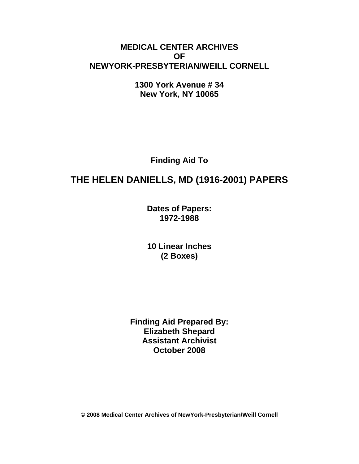### **MEDICAL CENTER ARCHIVES OF NEWYORK-PRESBYTERIAN/WEILL CORNELL**

**1300 York Avenue # 34 New York, NY 10065** 

**Finding Aid To** 

# **THE HELEN DANIELLS, MD (1916-2001) PAPERS**

**Dates of Papers: 1972-1988**

**10 Linear Inches (2 Boxes)** 

**Finding Aid Prepared By: Elizabeth Shepard Assistant Archivist October 2008** 

**© 2008 Medical Center Archives of NewYork-Presbyterian/Weill Cornell**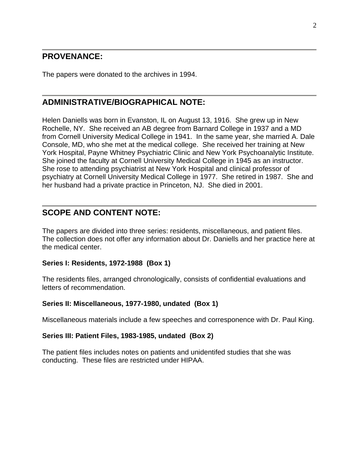### **PROVENANCE:**

The papers were donated to the archives in 1994.

### **ADMINISTRATIVE/BIOGRAPHICAL NOTE:**

Helen Daniells was born in Evanston, IL on August 13, 1916. She grew up in New Rochelle, NY. She received an AB degree from Barnard College in 1937 and a MD from Cornell University Medical College in 1941. In the same year, she married A. Dale Console, MD, who she met at the medical college. She received her training at New York Hospital, Payne Whitney Psychiatric Clinic and New York Psychoanalytic Institute. She joined the faculty at Cornell University Medical College in 1945 as an instructor. She rose to attending psychiatrist at New York Hospital and clinical professor of psychiatry at Cornell University Medical College in 1977. She retired in 1987. She and her husband had a private practice in Princeton, NJ. She died in 2001.

### **SCOPE AND CONTENT NOTE:**

The papers are divided into three series: residents, miscellaneous, and patient files. The collection does not offer any information about Dr. Daniells and her practice here at the medical center.

#### **Series I: Residents, 1972-1988 (Box 1)**

The residents files, arranged chronologically, consists of confidential evaluations and letters of recommendation.

#### **Series II: Miscellaneous, 1977-1980, undated (Box 1)**

Miscellaneous materials include a few speeches and corresponence with Dr. Paul King.

#### **Series III: Patient Files, 1983-1985, undated (Box 2)**

The patient files includes notes on patients and unidentifed studies that she was conducting. These files are restricted under HIPAA.